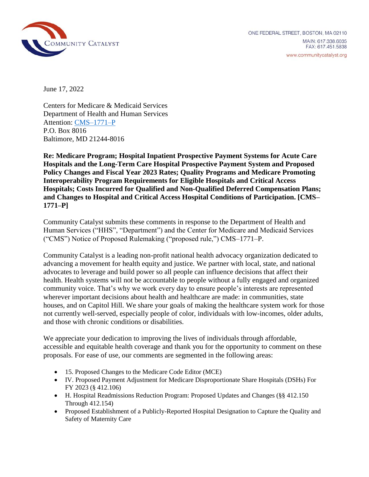

June 17, 2022

Centers for Medicare & Medicaid Services Department of Health and Human Services Attention: [CMS–1771–P](https://www.govinfo.gov/content/pkg/FR-2022-05-10/pdf/2022-08268.pdf) P.O. Box 8016 Baltimore, MD 21244-8016

**Re: Medicare Program; Hospital Inpatient Prospective Payment Systems for Acute Care Hospitals and the Long-Term Care Hospital Prospective Payment System and Proposed Policy Changes and Fiscal Year 2023 Rates; Quality Programs and Medicare Promoting Interoperability Program Requirements for Eligible Hospitals and Critical Access Hospitals; Costs Incurred for Qualified and Non-Qualified Deferred Compensation Plans; and Changes to Hospital and Critical Access Hospital Conditions of Participation. [CMS– 1771–P]**

Community Catalyst submits these comments in response to the Department of Health and Human Services ("HHS", "Department") and the Center for Medicare and Medicaid Services ("CMS") Notice of Proposed Rulemaking ("proposed rule,") CMS–1771–P.

Community Catalyst is a leading non-profit national health advocacy organization dedicated to advancing a movement for health equity and justice. We partner with local, state, and national advocates to leverage and build power so all people can influence decisions that affect their health. Health systems will not be accountable to people without a fully engaged and organized community voice. That's why we work every day to ensure people's interests are represented wherever important decisions about health and healthcare are made: in communities, state houses, and on Capitol Hill. We share your goals of making the healthcare system work for those not currently well-served, especially people of color, individuals with low-incomes, older adults, and those with chronic conditions or disabilities.

We appreciate your dedication to improving the lives of individuals through affordable, accessible and equitable health coverage and thank you for the opportunity to comment on these proposals. For ease of use, our comments are segmented in the following areas:

- 15. Proposed Changes to the Medicare Code Editor (MCE)
- IV. Proposed Payment Adjustment for Medicare Disproportionate Share Hospitals (DSHs) For FY 2023 (§ 412.106)
- H. Hospital Readmissions Reduction Program: Proposed Updates and Changes (§§ 412.150 Through 412.154)
- Proposed Establishment of a Publicly-Reported Hospital Designation to Capture the Quality and Safety of Maternity Care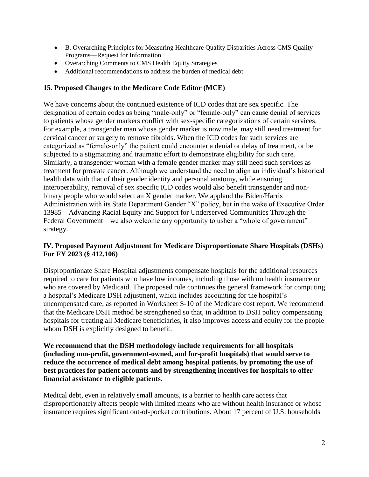- B. Overarching Principles for Measuring Healthcare Quality Disparities Across CMS Quality Programs—Request for Information
- Overarching Comments to CMS Health Equity Strategies
- Additional recommendations to address the burden of medical debt

# **15. Proposed Changes to the Medicare Code Editor (MCE)**

We have concerns about the continued existence of ICD codes that are sex specific. The designation of certain codes as being "male-only" or "female-only" can cause denial of services to patients whose gender markers conflict with sex-specific categorizations of certain services. For example, a transgender man whose gender marker is now male, may still need treatment for cervical cancer or surgery to remove fibroids. When the ICD codes for such services are categorized as "female-only" the patient could encounter a denial or delay of treatment, or be subjected to a stigmatizing and traumatic effort to demonstrate eligibility for such care. Similarly, a transgender woman with a female gender marker may still need such services as treatment for prostate cancer. Although we understand the need to align an individual's historical health data with that of their gender identity and personal anatomy, while ensuring interoperability, removal of sex specific ICD codes would also benefit transgender and nonbinary people who would select an X gender marker. We applaud the Biden/Harris Administration with its State Department Gender "X" policy, but in the wake of Executive Order 13985 – Advancing Racial Equity and Support for Underserved Communities Through the Federal Government – we also welcome any opportunity to usher a "whole of government" strategy.

# **IV. Proposed Payment Adjustment for Medicare Disproportionate Share Hospitals (DSHs) For FY 2023 (§ 412.106)**

Disproportionate Share Hospital adjustments compensate hospitals for the additional resources required to care for patients who have low incomes, including those with no health insurance or who are covered by Medicaid. The proposed rule continues the general framework for computing a hospital's Medicare DSH adjustment, which includes accounting for the hospital's uncompensated care, as reported in Worksheet S-10 of the Medicare cost report. We recommend that the Medicare DSH method be strengthened so that, in addition to DSH policy compensating hospitals for treating all Medicare beneficiaries, it also improves access and equity for the people whom DSH is explicitly designed to benefit.

**We recommend that the DSH methodology include requirements for all hospitals (including non-profit, government-owned, and for-profit hospitals) that would serve to reduce the occurrence of medical debt among hospital patients, by promoting the use of best practices for patient accounts and by strengthening incentives for hospitals to offer financial assistance to eligible patients.**

Medical debt, even in relatively small amounts, is a barrier to health care access that disproportionately affects people with limited means who are without health insurance or whose insurance requires significant out-of-pocket contributions. About 17 percent of U.S. households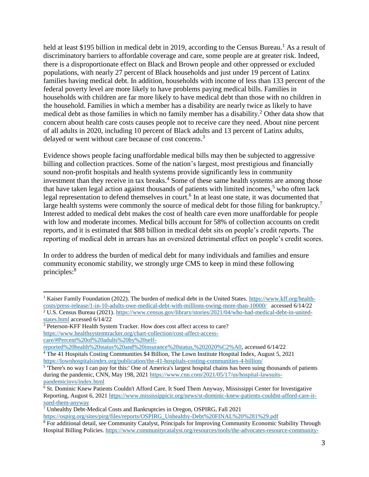held at least \$195 billion in medical debt in 2019, according to the Census Bureau.<sup>1</sup> As a result of discriminatory barriers to affordable coverage and care, some people are at greater risk. Indeed, there is a disproportionate effect on Black and Brown people and other oppressed or excluded populations, with nearly 27 percent of Black households and just under 19 percent of Latinx families having medical debt. In addition, households with income of less than 133 percent of the federal poverty level are more likely to have problems paying medical bills. Families in households with children are far more likely to have medical debt than those with no children in the household. Families in which a member has a disability are nearly twice as likely to have medical debt as those families in which no family member has a disability.<sup>2</sup> Other data show that concern about health care costs causes people not to receive care they need. About nine percent of all adults in 2020, including 10 percent of Black adults and 13 percent of Latinx adults, delayed or went without care because of cost concerns.<sup>3</sup>

Evidence shows people facing unaffordable medical bills may then be subjected to aggressive billing and collection practices. Some of the nation's largest, most prestigious and financially sound non-profit hospitals and health systems provide significantly less in community investment than they receive in tax breaks.<sup>4</sup> Some of these same health systems are among those that have taken legal action against thousands of patients with limited incomes,<sup>5</sup> who often lack legal representation to defend themselves in court.<sup>6</sup> In at least one state, it was documented that large health systems were commonly the source of medical debt for those filing for bankruptcy.<sup>7</sup> Interest added to medical debt makes the cost of health care even more unaffordable for people with low and moderate incomes. Medical bills account for 58% of collection accounts on credit reports, and it is estimated that \$88 billion in medical debt sits on people's credit reports. The reporting of medical debt in arrears has an oversized detrimental effect on people's credit scores.

In order to address the burden of medical debt for many individuals and families and ensure community economic stability, we strongly urge CMS to keep in mind these following principles:<sup>8</sup>

l <sup>1</sup> Kaiser Family Foundation (2022). The burden of medical debt in the United States. [https://www.kff.org/health](https://www.kff.org/health-costs/press-release/1-in-10-adults-owe-medical-debt-with-millions-owing-more-than-10000/)[costs/press-release/1-in-10-adults-owe-medical-debt-with-millions-owing-more-than-10000/](https://www.kff.org/health-costs/press-release/1-in-10-adults-owe-medical-debt-with-millions-owing-more-than-10000/) accessed 6/14/22

<sup>2</sup> U.S. Census Bureau (2021). [https://www.census.gov/library/stories/2021/04/who-had-medical-debt-in-united](https://www.census.gov/library/stories/2021/04/who-had-medical-debt-in-united-states.html)[states.html](https://www.census.gov/library/stories/2021/04/who-had-medical-debt-in-united-states.html) accessed 6/14/22

<sup>&</sup>lt;sup>3</sup> Peterson-KFF Health System Tracker. How does cost affect access to care? [https://www.healthsystemtracker.org/chart-collection/cost-affect-access](https://www.healthsystemtracker.org/chart-collection/cost-affect-access-care/#Percent%20of%20adults%20by%20self-reported%20health%20status%20and%20insurance%20status,%202020%C2%A0)[care/#Percent%20of%20adults%20by%20self-](https://www.healthsystemtracker.org/chart-collection/cost-affect-access-care/#Percent%20of%20adults%20by%20self-reported%20health%20status%20and%20insurance%20status,%202020%C2%A0)

[reported%20health%20status%20and%20insurance%20status,%202020%C2%A0,](https://www.healthsystemtracker.org/chart-collection/cost-affect-access-care/#Percent%20of%20adults%20by%20self-reported%20health%20status%20and%20insurance%20status,%202020%C2%A0) accessed 6/14/22 <sup>4</sup> The 41 Hospitals Costing Communities \$4 Billion, The Lown Institute Hospital Index, August 5, 2021 <https://lownhospitalsindex.org/publication/the-41-hospitals-costing-communities-4-billion/>

<sup>&</sup>lt;sup>5</sup> There's no way I can pay for this:' One of America's largest hospital chains has been suing thousands of patients during the pandemic, CNN, May 198, 2021 [https://www.cnn.com/2021/05/17/us/hospital-lawsuits](https://www.cnn.com/2021/05/17/us/hospital-lawsuits-pandemicinvs/index.html)[pandemicinvs/index.html](https://www.cnn.com/2021/05/17/us/hospital-lawsuits-pandemicinvs/index.html)

 $\frac{6}{6}$  St. Dominic Knew Patients Couldn't Afford Care. It Sued Them Anyway, Mississippi Center for Investigative Reporting, August 6, 2021 [https://www.mississippicir.org/news/st-dominic-knew-patients-couldnt-afford-care-it](https://www.mississippicir.org/news/st-dominic-knew-patients-couldnt-afford-care-it-sued-them-anyway)[sued-them-anyway](https://www.mississippicir.org/news/st-dominic-knew-patients-couldnt-afford-care-it-sued-them-anyway) 

<sup>7</sup> Unhealthy Debt-Medical Costs and Bankruptcies in Oregon, OSPIRG, Fall 2021 [https://ospirg.org/sites/pirg/files/reports/OSPIRG\\_Unhealthy-Debt%20FINAL%20%281%29.pdf](https://ospirg.org/sites/pirg/files/reports/OSPIRG_Unhealthy-Debt%20FINAL%20%281%29.pdf)

<sup>8</sup> For additional detail, see Community Catalyst, Principals for Improving Community Economic Stability Through Hospital Billing Policies. [https://www.communitycatalyst.org/resources/tools/the-advocates-resource-community-](https://www.communitycatalyst.org/resources/tools/the-advocates-resource-community-power-leading-the-charge-to-improve-community-benefit-and-economic-stability/pdf/Principles-for-Improving-Financial-Assistance-0615-FINAL.pdf)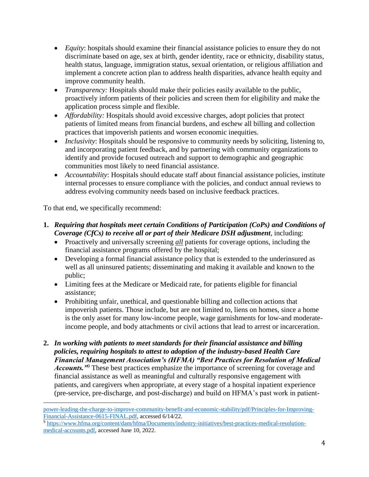- *Equity*: hospitals should examine their financial assistance policies to ensure they do not discriminate based on age, sex at birth, gender identity, race or ethnicity, disability status, health status, language, immigration status, sexual orientation, or religious affiliation and implement a concrete action plan to address health disparities, advance health equity and improve community health.
- *Transparency:* Hospitals should make their policies easily available to the public, proactively inform patients of their policies and screen them for eligibility and make the application process simple and flexible.
- *Affordability:* Hospitals should avoid excessive charges, adopt policies that protect patients of limited means from financial burdens, and eschew all billing and collection practices that impoverish patients and worsen economic inequities.
- *Inclusivity*: Hospitals should be responsive to community needs by soliciting, listening to, and incorporating patient feedback, and by partnering with community organizations to identify and provide focused outreach and support to demographic and geographic communities most likely to need financial assistance.
- *Accountability*: Hospitals should educate staff about financial assistance policies, institute internal processes to ensure compliance with the policies, and conduct annual reviews to address evolving community needs based on inclusive feedback practices.

To that end, we specifically recommend:

 $\overline{\phantom{a}}$ 

- **1.** *Requiring that hospitals meet certain Conditions of Participation (CoPs) and Conditions of Coverage (CfCs) to receive all or part of their Medicare DSH adjustment*, including:
	- Proactively and universally screening *all* patients for coverage options, including the financial assistance programs offered by the hospital;
	- Developing a formal financial assistance policy that is extended to the underinsured as well as all uninsured patients; disseminating and making it available and known to the public;
	- Limiting fees at the Medicare or Medicaid rate, for patients eligible for financial assistance;
	- Prohibiting unfair, unethical, and questionable billing and collection actions that impoverish patients. Those include, but are not limited to, liens on homes, since a home is the only asset for many low-income people, wage garnishments for low-and moderateincome people, and body attachments or civil actions that lead to arrest or incarceration.
- **2.** *In working with patients to meet standards for their financial assistance and billing policies, requiring hospitals to attest to adoption of the industry-based Health Care Financial Management Association's (HFMA) "Best Practices for Resolution of Medical Accounts.*<sup>"9</sup> These best practices emphasize the importance of screening for coverage and financial assistance as well as meaningful and culturally responsive engagement with patients, and caregivers when appropriate, at every stage of a hospital inpatient experience (pre-service, pre-discharge, and post-discharge) and build on HFMA's past work in patient-

[power-leading-the-charge-to-improve-community-benefit-and-economic-stability/pdf/Principles-for-Improving-](https://www.communitycatalyst.org/resources/tools/the-advocates-resource-community-power-leading-the-charge-to-improve-community-benefit-and-economic-stability/pdf/Principles-for-Improving-Financial-Assistance-0615-FINAL.pdf)[Financial-Assistance-0615-FINAL.pdf,](https://www.communitycatalyst.org/resources/tools/the-advocates-resource-community-power-leading-the-charge-to-improve-community-benefit-and-economic-stability/pdf/Principles-for-Improving-Financial-Assistance-0615-FINAL.pdf) accessed 6/14/22.

<sup>9</sup> [https://www.hfma.org/content/dam/hfma/Documents/industry-initiatives/best-practices-medical-resolution](https://www.hfma.org/content/dam/hfma/Documents/industry-initiatives/best-practices-medical-resolution-medical-accounts.pdf)[medical-accounts.pdf,](https://www.hfma.org/content/dam/hfma/Documents/industry-initiatives/best-practices-medical-resolution-medical-accounts.pdf) accessed June 10, 2022.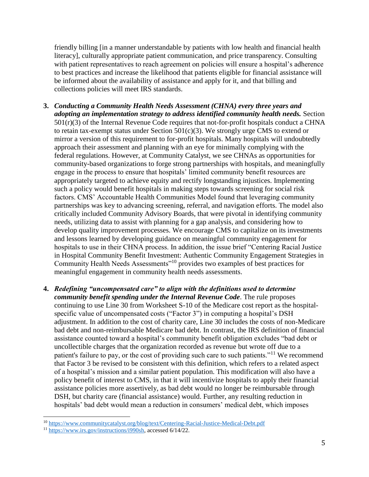friendly billing [in a manner understandable by patients with low health and financial health literacy], culturally appropriate patient communication, and price transparency. Consulting with patient representatives to reach agreement on policies will ensure a hospital's adherence to best practices and increase the likelihood that patients eligible for financial assistance will be informed about the availability of assistance and apply for it, and that billing and collections policies will meet IRS standards.

- **3.** *Conducting a Community Health Needs Assessment (CHNA) every three years and adopting an implementation strategy to address identified community health needs.* Section  $501(r)(3)$  of the Internal Revenue Code requires that not-for-profit hospitals conduct a CHNA to retain tax-exempt status under Section  $501(c)(3)$ . We strongly urge CMS to extend or mirror a version of this requirement to for-profit hospitals. Many hospitals will undoubtedly approach their assessment and planning with an eye for minimally complying with the federal regulations. However, at Community Catalyst, we see CHNAs as opportunities for community-based organizations to forge strong partnerships with hospitals, and meaningfully engage in the process to ensure that hospitals' limited community benefit resources are appropriately targeted to achieve equity and rectify longstanding injustices. Implementing such a policy would benefit hospitals in making steps towards screening for social risk factors. CMS' Accountable Health Communities Model found that leveraging community partnerships was key to advancing screening, referral, and navigation efforts. The model also critically included Community Advisory Boards, that were pivotal in identifying community needs, utilizing data to assist with planning for a gap analysis, and considering how to develop quality improvement processes. We encourage CMS to capitalize on its investments and lessons learned by developing guidance on meaningful community engagement for hospitals to use in their CHNA process. In addition, the issue brief "Centering Racial Justice in Hospital Community Benefit Investment: Authentic Community Engagement Strategies in Community Health Needs Assessments"<sup>10</sup> provides two examples of best practices for meaningful engagement in community health needs assessments.
- **4.** *Redefining "uncompensated care" to align with the definitions used to determine community benefit spending under the Internal Revenue Code*. The rule proposes continuing to use Line 30 from Worksheet S-10 of the Medicare cost report as the hospitalspecific value of uncompensated costs ("Factor 3") in computing a hospital's DSH adjustment. In addition to the cost of charity care, Line 30 includes the costs of non-Medicare bad debt and non-reimbursable Medicare bad debt. In contrast, the IRS definition of financial assistance counted toward a hospital's community benefit obligation excludes "bad debt or uncollectible charges that the organization recorded as revenue but wrote off due to a patient's failure to pay, or the cost of providing such care to such patients."<sup>11</sup> We recommend that Factor 3 be revised to be consistent with this definition, which refers to a related aspect of a hospital's mission and a similar patient population. This modification will also have a policy benefit of interest to CMS, in that it will incentivize hospitals to apply their financial assistance policies more assertively, as bad debt would no longer be reimbursable through DSH, but charity care (financial assistance) would. Further, any resulting reduction in hospitals' bad debt would mean a reduction in consumers' medical debt, which imposes

l

<sup>&</sup>lt;sup>10</sup> <https://www.communitycatalyst.org/blog/text/Centering-Racial-Justice-Medical-Debt.pdf>

<sup>11</sup> [https://www.irs.gov/instructions/i990sh,](https://www.irs.gov/instructions/i990sh) accessed 6/14/22.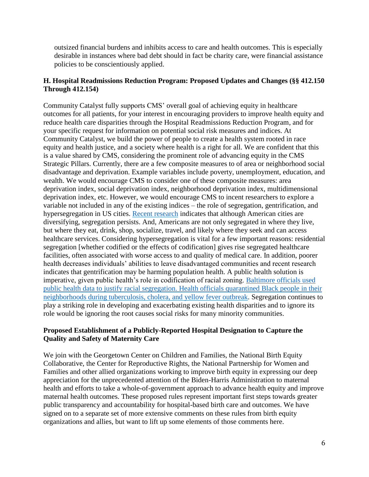outsized financial burdens and inhibits access to care and health outcomes. This is especially desirable in instances where bad debt should in fact be charity care, were financial assistance policies to be conscientiously applied.

# **H. Hospital Readmissions Reduction Program: Proposed Updates and Changes (§§ 412.150 Through 412.154)**

Community Catalyst fully supports CMS' overall goal of achieving equity in healthcare outcomes for all patients, for your interest in encouraging providers to improve health equity and reduce health care disparities through the Hospital Readmissions Reduction Program, and for your specific request for information on potential social risk measures and indices. At Community Catalyst, we build the power of people to create a health system rooted in race equity and health justice, and a society where health is a right for all. We are confident that this is a value shared by CMS, considering the prominent role of advancing equity in the CMS Strategic Pillars. Currently, there are a few composite measures to of area or neighborhood social disadvantage and deprivation. Example variables include poverty, unemployment, education, and wealth. We would encourage CMS to consider one of these composite measures: area deprivation index, social deprivation index, neighborhood deprivation index, multidimensional deprivation index, etc. However, we would encourage CMS to incent researchers to explore a variable not included in any of the existing indices – the role of segregation, gentrification, and hypersegregation in US cities. [Recent research](https://furmancenter.org/research/iri/essay/health-in-the-segregated-city) indicates that although American cities are diversifying, segregation persists. And, Americans are not only segregated in where they live, but where they eat, drink, shop, socialize, travel, and likely where they seek and can access healthcare services. Considering hypersegregation is vital for a few important reasons: residential segregation [whether codified or the effects of codification] gives rise segregated healthcare facilities, often associated with worse access to and quality of medical care. In addition, poorer health decreases individuals' abilities to leave disadvantaged communities and recent research indicates that gentrification may be harming population health. A public health solution is imperative, given public health's role in codification of racial zoning. [Baltimore officials used](https://elm.umaryland.edu/elm-stories/Elm-Stories-Content/Black-Butterfly-Author-Lawrence-Brown-to-Highlight-Kings-Fight-for-Fair-Housing--.php)  public [health data to justify racial segregation. Health officials quarantined Black people in their](https://elm.umaryland.edu/elm-stories/Elm-Stories-Content/Black-Butterfly-Author-Lawrence-Brown-to-Highlight-Kings-Fight-for-Fair-Housing--.php)  [neighborhoods during tuberculosis, cholera, and yellow fever outbreak.](https://elm.umaryland.edu/elm-stories/Elm-Stories-Content/Black-Butterfly-Author-Lawrence-Brown-to-Highlight-Kings-Fight-for-Fair-Housing--.php) Segregation continues to play a striking role in developing and exacerbating existing health disparities and to ignore its role would be ignoring the root causes social risks for many minority communities.

# **Proposed Establishment of a Publicly-Reported Hospital Designation to Capture the Quality and Safety of Maternity Care**

We join with the Georgetown Center on Children and Families, the National Birth Equity Collaborative, the Center for Reproductive Rights, the National Partnership for Women and Families and other allied organizations working to improve birth equity in expressing our deep appreciation for the unprecedented attention of the Biden-Harris Administration to maternal health and efforts to take a whole-of-government approach to advance health equity and improve maternal health outcomes. These proposed rules represent important first steps towards greater public transparency and accountability for hospital-based birth care and outcomes. We have signed on to a separate set of more extensive comments on these rules from birth equity organizations and allies, but want to lift up some elements of those comments here.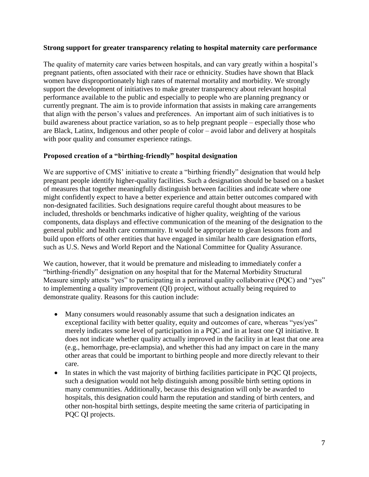#### **Strong support for greater transparency relating to hospital maternity care performance**

The quality of maternity care varies between hospitals, and can vary greatly within a hospital's pregnant patients, often associated with their race or ethnicity. Studies have shown that Black women have disproportionately high rates of maternal mortality and morbidity. We strongly support the development of initiatives to make greater transparency about relevant hospital performance available to the public and especially to people who are planning pregnancy or currently pregnant. The aim is to provide information that assists in making care arrangements that align with the person's values and preferences. An important aim of such initiatives is to build awareness about practice variation, so as to help pregnant people – especially those who are Black, Latinx, Indigenous and other people of color – avoid labor and delivery at hospitals with poor quality and consumer experience ratings.

# **Proposed creation of a "birthing-friendly" hospital designation**

We are supportive of CMS' initiative to create a "birthing friendly" designation that would help pregnant people identify higher-quality facilities. Such a designation should be based on a basket of measures that together meaningfully distinguish between facilities and indicate where one might confidently expect to have a better experience and attain better outcomes compared with non-designated facilities. Such designations require careful thought about measures to be included, thresholds or benchmarks indicative of higher quality, weighting of the various components, data displays and effective communication of the meaning of the designation to the general public and health care community. It would be appropriate to glean lessons from and build upon efforts of other entities that have engaged in similar health care designation efforts, such as U.S. News and World Report and the National Committee for Quality Assurance.

We caution, however, that it would be premature and misleading to immediately confer a "birthing-friendly" designation on any hospital that for the Maternal Morbidity Structural Measure simply attests "yes" to participating in a perinatal quality collaborative (PQC) and "yes" to implementing a quality improvement (QI) project, without actually being required to demonstrate quality. Reasons for this caution include:

- Many consumers would reasonably assume that such a designation indicates an exceptional facility with better quality, equity and outcomes of care, whereas "yes/yes" merely indicates some level of participation in a PQC and in at least one QI initiative. It does not indicate whether quality actually improved in the facility in at least that one area (e.g., hemorrhage, pre-eclampsia), and whether this had any impact on care in the many other areas that could be important to birthing people and more directly relevant to their care.
- In states in which the vast majority of birthing facilities participate in PQC QI projects, such a designation would not help distinguish among possible birth setting options in many communities. Additionally, because this designation will only be awarded to hospitals, this designation could harm the reputation and standing of birth centers, and other non-hospital birth settings, despite meeting the same criteria of participating in PQC QI projects.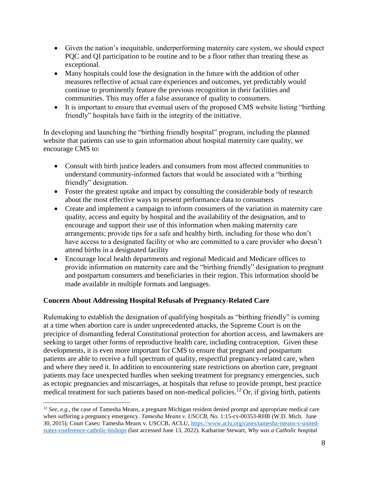- Given the nation's inequitable, underperforming maternity care system, we should expect PQC and QI participation to be routine and to be a floor rather than treating these as exceptional.
- Many hospitals could lose the designation in the future with the addition of other measures reflective of actual care experiences and outcomes, yet predictably would continue to prominently feature the previous recognition in their facilities and communities. This may offer a false assurance of quality to consumers.
- It is important to ensure that eventual users of the proposed CMS website listing "birthing" friendly" hospitals have faith in the integrity of the initiative.

In developing and launching the "birthing friendly hospital" program, including the planned website that patients can use to gain information about hospital maternity care quality, we encourage CMS to:

- Consult with birth justice leaders and consumers from most affected communities to understand community-informed factors that would be associated with a "birthing friendly" designation.
- Foster the greatest uptake and impact by consulting the considerable body of research about the most effective ways to present performance data to consumers
- Create and implement a campaign to inform consumers of the variation in maternity care quality, access and equity by hospital and the availability of the designation, and to encourage and support their use of this information when making maternity care arrangements; provide tips for a safe and healthy birth, including for those who don't have access to a designated facility or who are committed to a care provider who doesn't attend births in a designated facility
- Encourage local health departments and regional Medicaid and Medicare offices to provide information on maternity care and the "birthing friendly" designation to pregnant and postpartum consumers and beneficiaries in their region. This information should be made available in multiple formats and languages.

# **Concern About Addressing Hospital Refusals of Pregnancy-Related Care**

 $\overline{\phantom{a}}$ 

Rulemaking to establish the designation of qualifying hospitals as "birthing friendly" is coming at a time when abortion care is under unprecedented attacks, the Supreme Court is on the precipice of dismantling federal Constitutional protection for abortion access, and lawmakers are seeking to target other forms of reproductive health care, including contraception. Given these developments, it is even more important for CMS to ensure that pregnant and postpartum patients are able to receive a full spectrum of quality, respectful pregnancy-related care, when and where they need it. In addition to encountering state restrictions on abortion care, pregnant patients may face unexpected hurdles when seeking treatment for pregnancy emergencies, such as ectopic pregnancies and miscarriages, at hospitals that refuse to provide prompt, best practice medical treatment for such patients based on non-medical policies.<sup>12</sup> Or, if giving birth, patients

<sup>&</sup>lt;sup>12</sup> *See, e.g.*, the case of Tamesha Means, a pregnant Michigan resident denied prompt and appropriate medical care when suffering a pregnancy emergency. *Tamesha Means v. USCCB*, No. 1:15-cv-00353-RHB (W.D. Mich. June 30, 2015); Court Cases: Tamesha Means v. USCCB, ACLU, [https://www.aclu.org/cases/tamesha-means-v-united](https://www.aclu.org/cases/tamesha-means-v-united-states-conference-catholic-bishops)[states-conference-catholic-bishops](https://www.aclu.org/cases/tamesha-means-v-united-states-conference-catholic-bishops) (last accessed June 13, 2022). Katharine Stewart, *Why was a Catholic hospital*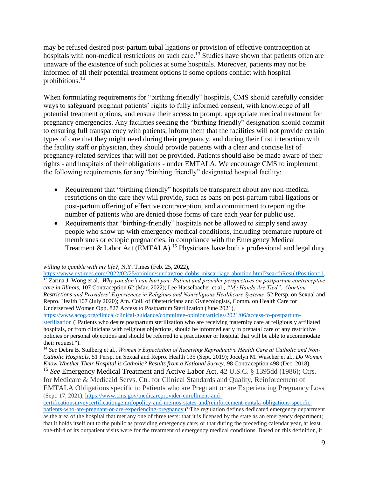may be refused desired post-partum tubal ligations or provision of effective contraception at hospitals with non-medical restrictions on such care.<sup>13</sup> Studies have shown that patients often are unaware of the existence of such policies at some hospitals. Moreover, patients may not be informed of all their potential treatment options if some options conflict with hospital prohibitions.<sup>14</sup>

When formulating requirements for "birthing friendly" hospitals, CMS should carefully consider ways to safeguard pregnant patients' rights to fully informed consent, with knowledge of all potential treatment options, and ensure their access to prompt, appropriate medical treatment for pregnancy emergencies. Any facilities seeking the "birthing friendly" designation should commit to ensuring full transparency with patients, inform them that the facilities will not provide certain types of care that they might need during their pregnancy, and during their first interaction with the facility staff or physician, they should provide patients with a clear and concise list of pregnancy-related services that will not be provided. Patients should also be made aware of their rights - and hospitals of their obligations - under EMTALA. We encourage CMS to implement the following requirements for any "birthing friendly" designated hospital facility:

- Requirement that "birthing friendly" hospitals be transparent about any non-medical restrictions on the care they will provide, such as bans on post-partum tubal ligations or post-partum offering of effective contraception, and a commitment to reporting the number of patients who are denied those forms of care each year for public use.
- Requirements that "birthing-friendly" hospitals not be allowed to simply send away people who show up with emergency medical conditions, including premature rupture of membranes or ectopic pregnancies, in compliance with the Emergency Medical Treatment & Labor Act (EMTALA).<sup>15</sup> Physicians have both a professional and legal duty

 $\overline{\phantom{a}}$ *willing to gamble with my life?*, N.Y. Times (Feb. 25, 2022),

[https://www.nytimes.com/2022/02/25/opinion/sunday/roe-dobbs-miscarriage-abortion.html?searchResultPosition=1.](https://www.nytimes.com/2022/02/25/opinion/sunday/roe-dobbs-miscarriage-abortion.html?searchResultPosition=1) <sup>13</sup> Zarina J. Wong et al., *Why you don't can hurt you: Patient and provider perspectives on postpartum contraceptive care in Illinois*, 107 Contraception 62 (Mar. 2022); Lee Hasselbacher et al., *"My Hands Are Tied": Abortion Restrictions and Providers' Experiences in Religious and Nonreligious Healthcare Systems*, 52 Persp. on Sexual and Repro. Health 107 (July 2020); Am. Coll. of Obstetricians and Gynecologists, Comm. on Health Care for Underserved Women Opp. 827 Access to Postpartum Sterilization (June 2021),

[https://www.acog.org/clinical/clinical-guidance/committee-opinion/articles/2021/06/access-to-postpartum](https://www.acog.org/clinical/clinical-guidance/committee-opinion/articles/2021/06/access-to-postpartum-sterilization)[sterilization](https://www.acog.org/clinical/clinical-guidance/committee-opinion/articles/2021/06/access-to-postpartum-sterilization) ("Patients who desire postpartum sterilization who are receiving maternity care at religiously affiliated hospitals, or from clinicians with religious objections, should be informed early in prenatal care of any restrictive policies or personal objections and should be referred to a practitioner or hospital that will be able to accommodate their request.").

<sup>14</sup> *See* Debra B. Stulberg et al., *Women's Expectation of Receiving Reproductive Health Care at Catholic and Non-Catholic Hospitals*, 51 Persp. on Sexual and Repro. Health 135 (Sept. 2019); Jocelyn M. Wascher et al., *Do Women Know Whether Their Hospital is Catholic? Results from a National Survey*, 98 Contraception 498 (Dec. 2018).

<sup>15</sup> *See* Emergency Medical Treatment and Active Labor Act, 42 U.S.C. § 1395dd (1986); Ctrs. for Medicare & Medicaid Servs. Ctr. for Clinical Standards and Quality, Reinforcement of

EMTALA Obligations specific to Patients who are Pregnant or are Experiencing Pregnancy Loss (Sept. 17, 2021), [https://www.cms.gov/medicareprovider-enrollment-and-](https://www.cms.gov/medicareprovider-enrollment-and-certificationsurveycertificationgeninfopolicy-and-memos-states-and/reinforcement-emtala-obligations-specific-patients-who-are-pregnant-or-are-experiencing-pregnancy)

[certificationsurveycertificationgeninfopolicy-and-memos-states-and/reinforcement-emtala-obligations-specific](https://www.cms.gov/medicareprovider-enrollment-and-certificationsurveycertificationgeninfopolicy-and-memos-states-and/reinforcement-emtala-obligations-specific-patients-who-are-pregnant-or-are-experiencing-pregnancy)[patients-who-are-pregnant-or-are-experiencing-pregnancy](https://www.cms.gov/medicareprovider-enrollment-and-certificationsurveycertificationgeninfopolicy-and-memos-states-and/reinforcement-emtala-obligations-specific-patients-who-are-pregnant-or-are-experiencing-pregnancy) ("The regulation defines dedicated emergency department as the area of the hospital that met any one of three tests: that it is licensed by the state as an emergency department; that it holds itself out to the public as providing emergency care; or that during the preceding calendar year, at least one-third of its outpatient visits were for the treatment of emergency medical conditions. Based on this definition, it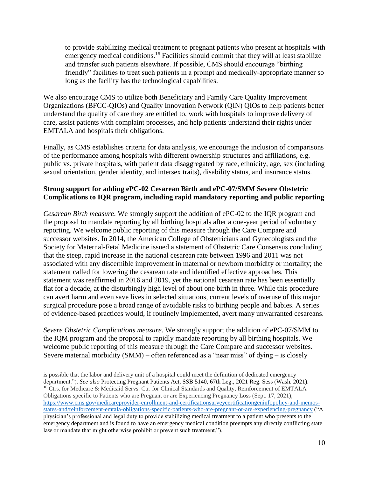to provide stabilizing medical treatment to pregnant patients who present at hospitals with emergency medical conditions.<sup>16</sup> Facilities should commit that they will at least stabilize and transfer such patients elsewhere. If possible, CMS should encourage "birthing friendly" facilities to treat such patients in a prompt and medically-appropriate manner so long as the facility has the technological capabilities.

We also encourage CMS to utilize both Beneficiary and Family Care Quality Improvement Organizations (BFCC-QIOs) and Quality Innovation Network (QIN) QIOs to help patients better understand the quality of care they are entitled to, work with hospitals to improve delivery of care, assist patients with complaint processes, and help patients understand their rights under EMTALA and hospitals their obligations.

Finally, as CMS establishes criteria for data analysis, we encourage the inclusion of comparisons of the performance among hospitals with different ownership structures and affiliations, e.g. public vs. private hospitals, with patient data disaggregated by race, ethnicity, age, sex (including sexual orientation, gender identity, and intersex traits), disability status, and insurance status.

# **Strong support for adding ePC-02 Cesarean Birth and ePC-07/SMM Severe Obstetric Complications to IQR program, including rapid mandatory reporting and public reporting**

*Cesarean Birth measure*. We strongly support the addition of ePC-02 to the IQR program and the proposal to mandate reporting by all birthing hospitals after a one-year period of voluntary reporting. We welcome public reporting of this measure through the Care Compare and successor websites. In 2014, the American College of Obstetricians and Gynecologists and the Society for Maternal-Fetal Medicine issued a statement of Obstetric Care Consensus concluding that the steep, rapid increase in the national cesarean rate between 1996 and 2011 was not associated with any discernible improvement in maternal or newborn morbidity or mortality; the statement called for lowering the cesarean rate and identified effective approaches. This statement was reaffirmed in 2016 and 2019, yet the national cesarean rate has been essentially flat for a decade, at the disturbingly high level of about one birth in three. While this procedure can avert harm and even save lives in selected situations, current levels of overuse of this major surgical procedure pose a broad range of avoidable risks to birthing people and babies. A series of evidence-based practices would, if routinely implemented, avert many unwarranted cesareans.

*Severe Obstetric Complications measure*. We strongly support the addition of ePC-07/SMM to the IQM program and the proposal to rapidly mandate reporting by all birthing hospitals. We welcome public reporting of this measure through the Care Compare and successor websites. Severe maternal morbidity  $(SMM)$  – often referenced as a "near miss" of dying – is closely

 $\overline{\phantom{a}}$ 

is possible that the labor and delivery unit of a hospital could meet the definition of dedicated emergency department."). *See also* Protecting Pregnant Patients Act, SSB 5140, 67th Leg., 2021 Reg. Sess (Wash. 2021). <sup>16</sup> Ctrs. for Medicare & Medicaid Servs. Ctr. for Clinical Standards and Quality, Reinforcement of EMTALA Obligations specific to Patients who are Pregnant or are Experiencing Pregnancy Loss (Sept. 17, 2021), [https://www.cms.gov/medicareprovider-enrollment-and-certificationsurveycertificationgeninfopolicy-and-memos](https://www.cms.gov/medicareprovider-enrollment-and-certificationsurveycertificationgeninfopolicy-and-memos-states-and/reinforcement-emtala-obligations-specific-patients-who-are-pregnant-or-are-experiencing-pregnancy)[states-and/reinforcement-emtala-obligations-specific-patients-who-are-pregnant-or-are-experiencing-pregnancy](https://www.cms.gov/medicareprovider-enrollment-and-certificationsurveycertificationgeninfopolicy-and-memos-states-and/reinforcement-emtala-obligations-specific-patients-who-are-pregnant-or-are-experiencing-pregnancy) ("A physician's professional and legal duty to provide stabilizing medical treatment to a patient who presents to the emergency department and is found to have an emergency medical condition preempts any directly conflicting state law or mandate that might otherwise prohibit or prevent such treatment.").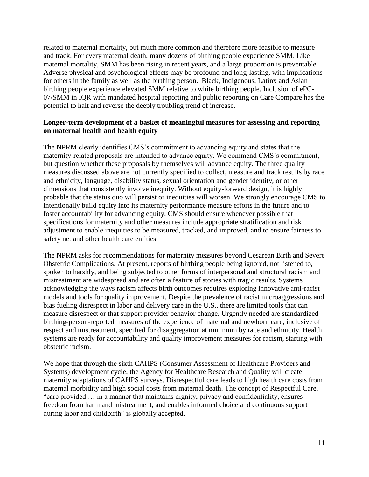related to maternal mortality, but much more common and therefore more feasible to measure and track. For every maternal death, many dozens of birthing people experience SMM. Like maternal mortality, SMM has been rising in recent years, and a large proportion is preventable. Adverse physical and psychological effects may be profound and long-lasting, with implications for others in the family as well as the birthing person. Black, Indigenous, Latinx and Asian birthing people experience elevated SMM relative to white birthing people. Inclusion of ePC-07/SMM in IQR with mandated hospital reporting and public reporting on Care Compare has the potential to halt and reverse the deeply troubling trend of increase.

# **Longer-term development of a basket of meaningful measures for assessing and reporting on maternal health and health equity**

The NPRM clearly identifies CMS's commitment to advancing equity and states that the maternity-related proposals are intended to advance equity. We commend CMS's commitment, but question whether these proposals by themselves will advance equity. The three quality measures discussed above are not currently specified to collect, measure and track results by race and ethnicity, language, disability status, sexual orientation and gender identity, or other dimensions that consistently involve inequity. Without equity-forward design, it is highly probable that the status quo will persist or inequities will worsen. We strongly encourage CMS to intentionally build equity into its maternity performance measure efforts in the future and to foster accountability for advancing equity. CMS should ensure whenever possible that specifications for maternity and other measures include appropriate stratification and risk adjustment to enable inequities to be measured, tracked, and improved, and to ensure fairness to safety net and other health care entities

The NPRM asks for recommendations for maternity measures beyond Cesarean Birth and Severe Obstetric Complications. At present, reports of birthing people being ignored, not listened to, spoken to harshly, and being subjected to other forms of interpersonal and structural racism and mistreatment are widespread and are often a feature of stories with tragic results. Systems acknowledging the ways racism affects birth outcomes requires exploring innovative anti-racist models and tools for quality improvement. Despite the prevalence of racist microaggressions and bias fueling disrespect in labor and delivery care in the U.S., there are limited tools that can measure disrespect or that support provider behavior change. Urgently needed are standardized birthing-person-reported measures of the experience of maternal and newborn care, inclusive of respect and mistreatment, specified for disaggregation at minimum by race and ethnicity. Health systems are ready for accountability and quality improvement measures for racism, starting with obstetric racism.

We hope that through the sixth CAHPS (Consumer Assessment of Healthcare Providers and Systems) development cycle, the Agency for Healthcare Research and Quality will create maternity adaptations of CAHPS surveys. Disrespectful care leads to high health care costs from maternal morbidity and high social costs from maternal death. The concept of Respectful Care, "care provided … in a manner that maintains dignity, privacy and confidentiality, ensures freedom from harm and mistreatment, and enables informed choice and continuous support during labor and childbirth" is globally accepted.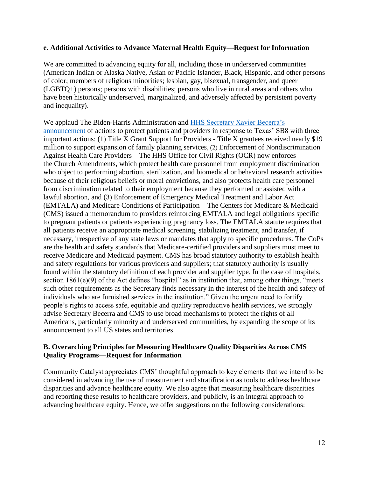#### **e. Additional Activities to Advance Maternal Health Equity—Request for Information**

We are committed to advancing equity for all, including those in underserved communities (American Indian or Alaska Native, Asian or Pacific Islander, Black, Hispanic, and other persons of color; members of religious minorities; lesbian, gay, bisexual, transgender, and queer (LGBTQ+) persons; persons with disabilities; persons who live in rural areas and others who have been historically underserved, marginalized, and adversely affected by persistent poverty and inequality).

We applaud The Biden-Harris Administration and HHS Secretary Xavier Becerra's [announcement](https://www.hhs.gov/about/news/2021/09/17/hhs-secretary-xavier-becerra-announces-actions-protect-patients-and-providers-response-texas-sb.html) of actions to protect patients and providers in response to Texas' SB8 with three important actions: (1) Title X Grant Support for Providers - Title X grantees received nearly \$19 million to support expansion of family planning services, (2) Enforcement of Nondiscrimination Against Health Care Providers – The HHS Office for Civil Rights (OCR) now enforces the [Church Amendments,](https://www.hhs.gov/conscience/conscience-protections/guidance-church-amendments-protections/index.html) which protect health care personnel from employment discrimination who object to performing abortion, sterilization, and biomedical or behavioral research activities because of their religious beliefs or moral convictions, and also protects health care personnel from discrimination related to their employment because they performed or assisted with a lawful abortion, and (3) Enforcement of Emergency Medical Treatment and Labor Act (EMTALA) and Medicare Conditions of Participation – The Centers for Medicare & Medicaid (CMS) issued a memorandum to providers reinforcing EMTALA and legal obligations specific to pregnant patients or patients experiencing pregnancy loss. The EMTALA statute requires that all patients receive an appropriate medical screening, stabilizing treatment, and transfer, if necessary, irrespective of any state laws or mandates that apply to specific procedures. The CoPs are the health and safety standards that Medicare-certified providers and suppliers must meet to receive Medicare and Medicaid payment. CMS has broad statutory authority to establish health and safety regulations for various providers and suppliers; that statutory authority is usually found within the statutory definition of each provider and supplier type. In the case of hospitals, section 1861(e)(9) of the Act defines "hospital" as in institution that, among other things, "meets such other requirements as the Secretary finds necessary in the interest of the health and safety of individuals who are furnished services in the institution." Given the urgent need to fortify people's rights to access safe, equitable and quality reproductive health services, we strongly advise Secretary Becerra and CMS to use broad mechanisms to protect the rights of all Americans, particularly minority and underserved communities, by expanding the scope of its announcement to all US states and territories.

# **B. Overarching Principles for Measuring Healthcare Quality Disparities Across CMS Quality Programs—Request for Information**

Community Catalyst appreciates CMS' thoughtful approach to key elements that we intend to be considered in advancing the use of measurement and stratification as tools to address healthcare disparities and advance healthcare equity. We also agree that measuring healthcare disparities and reporting these results to healthcare providers, and publicly, is an integral approach to advancing healthcare equity. Hence, we offer suggestions on the following considerations: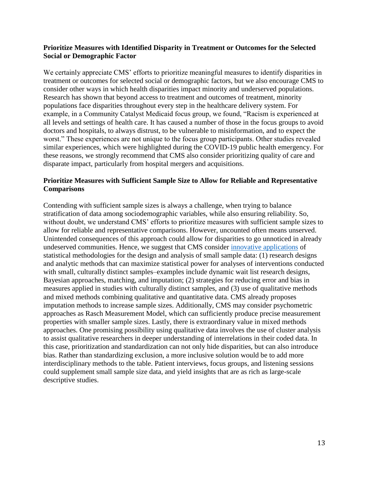### **Prioritize Measures with Identified Disparity in Treatment or Outcomes for the Selected Social or Demographic Factor**

We certainly appreciate CMS' efforts to prioritize meaningful measures to identify disparities in treatment or outcomes for selected social or demographic factors, but we also encourage CMS to consider other ways in which health disparities impact minority and underserved populations. Research has shown that beyond access to treatment and outcomes of treatment, minority populations face disparities throughout every step in the healthcare delivery system. For example, in a Community Catalyst Medicaid focus group, we found, "Racism is experienced at all levels and settings of health care. It has caused a number of those in the focus groups to avoid doctors and hospitals, to always distrust, to be vulnerable to misinformation, and to expect the worst." These experiences are not unique to the focus group participants. Other studies revealed similar experiences, which were highlighted during the COVID-19 public health emergency. For these reasons, we strongly recommend that CMS also consider prioritizing quality of care and disparate impact, particularly from hospital mergers and acquisitions.

# **Prioritize Measures with Sufficient Sample Size to Allow for Reliable and Representative Comparisons**

Contending with sufficient sample sizes is always a challenge, when trying to balance stratification of data among sociodemographic variables, while also ensuring reliability. So, without doubt, we understand CMS' efforts to prioritize measures with sufficient sample sizes to allow for reliable and representative comparisons. However, uncounted often means unserved. Unintended consequences of this approach could allow for disparities to go unnoticed in already undeserved communities. Hence, we suggest that CMS consider [innovative applications](https://www.ncbi.nlm.nih.gov/pmc/articles/PMC4943852/) of statistical methodologies for the design and analysis of small sample data: (1) research designs and analytic methods that can maximize statistical power for analyses of interventions conducted with small, culturally distinct samples–examples include dynamic wait list research designs, Bayesian approaches, matching, and imputation; (2) strategies for reducing error and bias in measures applied in studies with culturally distinct samples, and (3) use of qualitative methods and mixed methods combining qualitative and quantitative data. CMS already proposes imputation methods to increase sample sizes. Additionally, CMS may consider psychometric approaches as Rasch Measurement Model, which can sufficiently produce precise measurement properties with smaller sample sizes. Lastly, there is extraordinary value in mixed methods approaches. One promising possibility using qualitative data involves the use of cluster analysis to assist qualitative researchers in deeper understanding of interrelations in their coded data. In this case, prioritization and standardization can not only hide disparities, but can also introduce bias. Rather than standardizing exclusion, a more inclusive solution would be to add more interdisciplinary methods to the table. Patient interviews, focus groups, and listening sessions could supplement small sample size data, and yield insights that are as rich as large-scale descriptive studies.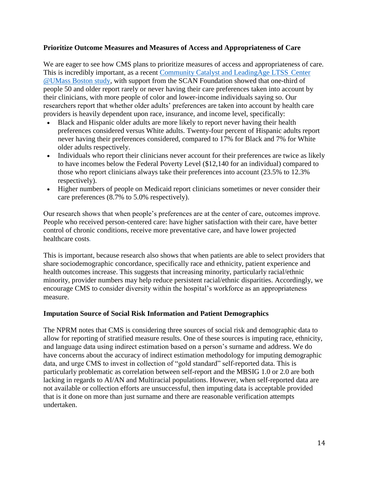### **Prioritize Outcome Measures and Measures of Access and Appropriateness of Care**

We are eager to see how CMS plans to prioritize measures of access and appropriateness of care. This is incredibly important, as a recent [Community Catalyst and LeadingAge LTSS](https://www.healthinnovation.org/resources/publications/tracking-progress-on-person-centered-care-for-older-adults-how-are-we-doing) Center [@UMass Boston study,](https://www.healthinnovation.org/resources/publications/tracking-progress-on-person-centered-care-for-older-adults-how-are-we-doing) with support from the SCAN Foundation showed that one-third of people 50 and older report rarely or never having their care preferences taken into account by their clinicians, with more people of color and lower-income individuals saying so. Our researchers report that whether older adults' preferences are taken into account by health care providers is heavily dependent upon race, insurance, and income level, specifically:

- Black and Hispanic older adults are more likely to report never having their health preferences considered versus White adults. Twenty-four percent of Hispanic adults report never having their preferences considered, compared to 17% for Black and 7% for White older adults respectively.
- Individuals who report their clinicians never account for their preferences are twice as likely to have incomes below the Federal Poverty Level (\$12,140 for an individual) compared to those who report clinicians always take their preferences into account (23.5% to 12.3% respectively).
- Higher numbers of people on Medicaid report clinicians sometimes or never consider their care preferences (8.7% to 5.0% respectively).

Our research shows that when people's preferences are at the center of care, outcomes improve. People who received person-centered care: have higher satisfaction with their care, have better control of chronic conditions, receive more preventative care, and have lower projected healthcare costs*.* 

This is important, because research also shows that when patients are able to select providers that share sociodemographic concordance, specifically race and ethnicity, patient experience and health outcomes increase. This suggests that increasing minority, particularly racial/ethnic minority, provider numbers may help reduce persistent racial/ethnic disparities. Accordingly, we encourage CMS to consider diversity within the hospital's workforce as an appropriateness measure.

#### **Imputation Source of Social Risk Information and Patient Demographics**

The NPRM notes that CMS is considering three sources of social risk and demographic data to allow for reporting of stratified measure results. One of these sources is imputing race, ethnicity, and language data using indirect estimation based on a person's surname and address. We do have concerns about the accuracy of indirect estimation methodology for imputing demographic data, and urge CMS to invest in collection of "gold standard" self-reported data. This is particularly problematic as correlation between self-report and the MBSIG 1.0 or 2.0 are both lacking in regards to AI/AN and Multiracial populations. However, when self-reported data are not available or collection efforts are unsuccessful, then imputing data is acceptable provided that is it done on more than just surname and there are reasonable verification attempts undertaken.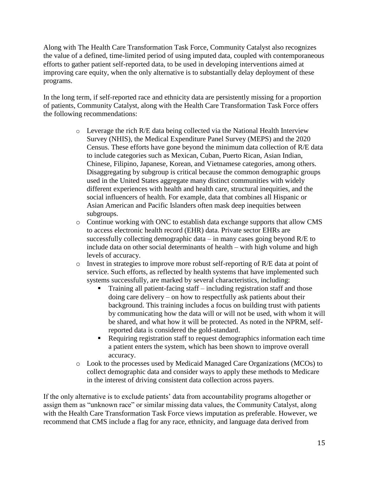Along with The Health Care Transformation Task Force, Community Catalyst also recognizes the value of a defined, time-limited period of using imputed data, coupled with contemporaneous efforts to gather patient self-reported data, to be used in developing interventions aimed at improving care equity, when the only alternative is to substantially delay deployment of these programs.

In the long term, if self-reported race and ethnicity data are persistently missing for a proportion of patients, Community Catalyst, along with the Health Care Transformation Task Force offers the following recommendations:

- o Leverage the rich R/E data being collected via the National Health Interview Survey (NHIS), the Medical Expenditure Panel Survey (MEPS) and the 2020 Census. These efforts have gone beyond the minimum data collection of R/E data to include categories such as Mexican, Cuban, Puerto Rican, Asian Indian, Chinese, Filipino, Japanese, Korean, and Vietnamese categories, among others. Disaggregating by subgroup is critical because the common demographic groups used in the United States aggregate many distinct communities with widely different experiences with health and health care, structural inequities, and the social influencers of health. For example, data that combines all Hispanic or Asian American and Pacific Islanders often mask deep inequities between subgroups.
- o Continue working with ONC to establish data exchange supports that allow CMS to access electronic health record (EHR) data. Private sector EHRs are successfully collecting demographic data – in many cases going beyond R/E to include data on other social determinants of health – with high volume and high levels of accuracy.
- $\circ$  Invest in strategies to improve more robust self-reporting of R/E data at point of service. Such efforts, as reflected by health systems that have implemented such systems successfully, are marked by several characteristics, including:
	- Training all patient-facing staff including registration staff and those doing care delivery – on how to respectfully ask patients about their background. This training includes a focus on building trust with patients by communicating how the data will or will not be used, with whom it will be shared, and what how it will be protected. As noted in the NPRM, selfreported data is considered the gold-standard.
	- Requiring registration staff to request demographics information each time a patient enters the system, which has been shown to improve overall accuracy.
- o Look to the processes used by Medicaid Managed Care Organizations (MCOs) to collect demographic data and consider ways to apply these methods to Medicare in the interest of driving consistent data collection across payers.

If the only alternative is to exclude patients' data from accountability programs altogether or assign them as "unknown race" or similar missing data values, the Community Catalyst, along with the Health Care Transformation Task Force views imputation as preferable. However, we recommend that CMS include a flag for any race, ethnicity, and language data derived from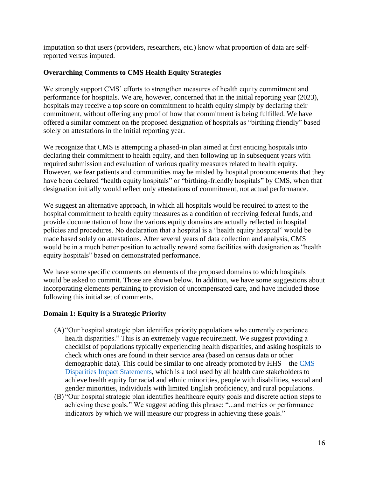imputation so that users (providers, researchers, etc.) know what proportion of data are selfreported versus imputed.

# **Overarching Comments to CMS Health Equity Strategies**

We strongly support CMS' efforts to strengthen measures of health equity commitment and performance for hospitals. We are, however, concerned that in the initial reporting year (2023), hospitals may receive a top score on commitment to health equity simply by declaring their commitment, without offering any proof of how that commitment is being fulfilled. We have offered a similar comment on the proposed designation of hospitals as "birthing friendly" based solely on attestations in the initial reporting year.

We recognize that CMS is attempting a phased-in plan aimed at first enticing hospitals into declaring their commitment to health equity, and then following up in subsequent years with required submission and evaluation of various quality measures related to health equity. However, we fear patients and communities may be misled by hospital pronouncements that they have been declared "health equity hospitals" or "birthing-friendly hospitals" by CMS, when that designation initially would reflect only attestations of commitment, not actual performance.

We suggest an alternative approach, in which all hospitals would be required to attest to the hospital commitment to health equity measures as a condition of receiving federal funds, and provide documentation of how the various equity domains are actually reflected in hospital policies and procedures. No declaration that a hospital is a "health equity hospital" would be made based solely on attestations. After several years of data collection and analysis, CMS would be in a much better position to actually reward some facilities with designation as "health equity hospitals" based on demonstrated performance.

We have some specific comments on elements of the proposed domains to which hospitals would be asked to commit. Those are shown below. In addition, we have some suggestions about incorporating elements pertaining to provision of uncompensated care, and have included those following this initial set of comments.

# **Domain 1: Equity is a Strategic Priority**

- (A) "Our hospital strategic plan identifies priority populations who currently experience health disparities." This is an extremely vague requirement. We suggest providing a checklist of populations typically experiencing health disparities, and asking hospitals to check which ones are found in their service area (based on census data or other demographic data). This could be similar to one already promoted by HHS – the [CMS](https://www.cms.gov/About-CMS/Agency-Information/OMH/Downloads/Disparities-Impact-Statement-508-rev102018.pdf)  [Disparities Impact Statements,](https://www.cms.gov/About-CMS/Agency-Information/OMH/Downloads/Disparities-Impact-Statement-508-rev102018.pdf) which is a tool used by all health care stakeholders to achieve health equity for racial and ethnic minorities, people with disabilities, sexual and gender minorities, individuals with limited English proficiency, and rural populations.
- (B) "Our hospital strategic plan identifies healthcare equity goals and discrete action steps to achieving these goals." We suggest adding this phrase: "...and metrics or performance indicators by which we will measure our progress in achieving these goals."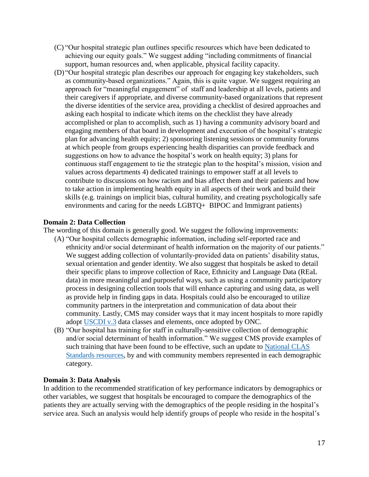- (C) "Our hospital strategic plan outlines specific resources which have been dedicated to achieving our equity goals." We suggest adding "including commitments of financial support, human resources and, when applicable, physical facility capacity.
- (D) "Our hospital strategic plan describes our approach for engaging key stakeholders, such as community-based organizations." Again, this is quite vague. We suggest requiring an approach for "meaningful engagement" of staff and leadership at all levels, patients and their caregivers if appropriate, and diverse community-based organizations that represent the diverse identities of the service area, providing a checklist of desired approaches and asking each hospital to indicate which items on the checklist they have already accomplished or plan to accomplish, such as 1) having a community advisory board and engaging members of that board in development and execution of the hospital's strategic plan for advancing health equity; 2) sponsoring listening sessions or community forums at which people from groups experiencing health disparities can provide feedback and suggestions on how to advance the hospital's work on health equity; 3) plans for continuous staff engagement to tie the strategic plan to the hospital's mission, vision and values across departments 4) dedicated trainings to empower staff at all levels to contribute to discussions on how racism and bias affect them and their patients and how to take action in implementing health equity in all aspects of their work and build their skills (e.g. trainings on implicit bias, cultural humility, and creating psychologically safe environments and caring for the needs LGBTQ+ BIPOC and Immigrant patients)

### **Domain 2: Data Collection**

The wording of this domain is generally good. We suggest the following improvements:

- (A) "Our hospital collects demographic information, including self-reported race and ethnicity and/or social determinant of health information on the majority of our patients." We suggest adding collection of voluntarily-provided data on patients' disability status, sexual orientation and gender identity. We also suggest that hospitals be asked to detail their specific plans to improve collection of Race, Ethnicity and Language Data (REaL data) in more meaningful and purposeful ways, such as using a community participatory process in designing collection tools that will enhance capturing and using data, as well as provide help in finding gaps in data. Hospitals could also be encouraged to utilize community partners in the interpretation and communication of data about their community. Lastly, CMS may consider ways that it may incent hospitals to more rapidly adopt [USCDI v.3](https://www.healthit.gov/isa/united-states-core-data-interoperability-uscdi#draft-uscdi-v3) data classes and elements, once adopted by ONC.
- (B) "Our hospital has training for staff in culturally-sensitive collection of demographic and/or social determinant of health information." We suggest CMS provide examples of such training that have been found to be effective, such an update to National CLAS [Standards resources,](https://www.cms.gov/about-cms/agency-information/omh/downloads/data-collection-resources.pdf) by and with community members represented in each demographic category.

#### **Domain 3: Data Analysis**

In addition to the recommended stratification of key performance indicators by demographics or other variables, we suggest that hospitals be encouraged to compare the demographics of the patients they are actually serving with the demographics of the people residing in the hospital's service area. Such an analysis would help identify groups of people who reside in the hospital's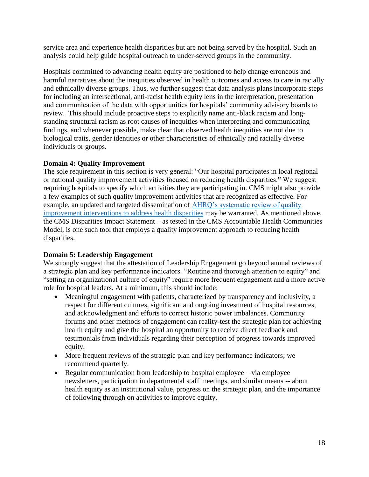service area and experience health disparities but are not being served by the hospital. Such an analysis could help guide hospital outreach to under-served groups in the community.

Hospitals committed to advancing health equity are positioned to help change erroneous and harmful narratives about the inequities observed in health outcomes and access to care in racially and ethnically diverse groups. Thus, we further suggest that data analysis plans incorporate steps for including an intersectional, anti-racist health equity lens in the interpretation, presentation and communication of the data with opportunities for hospitals' community advisory boards to review. This should include proactive steps to explicitly name anti-black racism and longstanding structural racism as root causes of inequities when interpreting and communicating findings, and whenever possible, make clear that observed health inequities are not due to biological traits, gender identities or other characteristics of ethnically and racially diverse individuals or groups.

# **Domain 4: Quality Improvement**

The sole requirement in this section is very general: "Our hospital participates in local regional or national quality improvement activities focused on reducing health disparities." We suggest requiring hospitals to specify which activities they are participating in. CMS might also provide a few examples of such quality improvement activities that are recognized as effective. For example, an updated and targeted dissemination of [AHRQ's systematic review of quality](https://effectivehealthcare.ahrq.gov/products/disparities-quality-improvement/research)  [improvement interventions to address health disparities](https://effectivehealthcare.ahrq.gov/products/disparities-quality-improvement/research) may be warranted. As mentioned above, the CMS Disparities Impact Statement – as tested in the CMS Accountable Health Communities Model, is one such tool that employs a quality improvement approach to reducing health disparities.

# **Domain 5: Leadership Engagement**

We strongly suggest that the attestation of Leadership Engagement go beyond annual reviews of a strategic plan and key performance indicators. "Routine and thorough attention to equity" and "setting an organizational culture of equity" require more frequent engagement and a more active role for hospital leaders. At a minimum, this should include:

- Meaningful engagement with patients, characterized by transparency and inclusivity, a respect for different cultures, significant and ongoing investment of hospital resources, and acknowledgment and efforts to correct historic power imbalances. Community forums and other methods of engagement can reality-test the strategic plan for achieving health equity and give the hospital an opportunity to receive direct feedback and testimonials from individuals regarding their perception of progress towards improved equity.
- More frequent reviews of the strategic plan and key performance indicators; we recommend quarterly.
- Regular communication from leadership to hospital employee via employee newsletters, participation in departmental staff meetings, and similar means -- about health equity as an institutional value, progress on the strategic plan, and the importance of following through on activities to improve equity.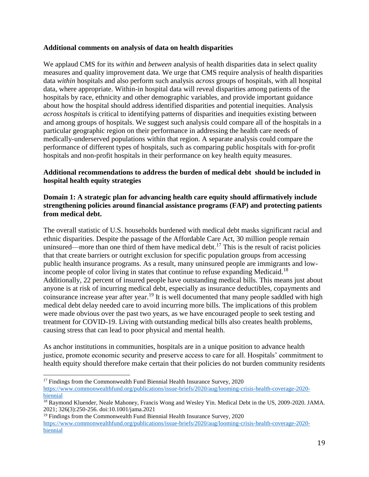### **Additional comments on analysis of data on health disparities**

We applaud CMS for its *within* and *between* analysis of health disparities data in select quality measures and quality improvement data. We urge that CMS require analysis of health disparities data *within* hospitals and also perform such analysis *across* groups of hospitals, with all hospital data, where appropriate. Within-in hospital data will reveal disparities among patients of the hospitals by race, ethnicity and other demographic variables, and provide important guidance about how the hospital should address identified disparities and potential inequities. Analysis *across hospitals* is critical to identifying patterns of disparities and inequities existing between and among groups of hospitals. We suggest such analysis could compare all of the hospitals in a particular geographic region on their performance in addressing the health care needs of medically-underserved populations within that region. A separate analysis could compare the performance of different types of hospitals, such as comparing public hospitals with for-profit hospitals and non-profit hospitals in their performance on key health equity measures.

### **Additional recommendations to address the burden of medical debt should be included in hospital health equity strategies**

### **Domain 1: A strategic plan for advancing health care equity should affirmatively include strengthening policies around financial assistance programs (FAP) and protecting patients from medical debt.**

The overall statistic of U.S. households burdened with medical debt masks significant racial and ethnic disparities. Despite the passage of the Affordable Care Act, 30 million people remain uninsured—more than one third of them have medical debt.<sup>17</sup> This is the result of racist policies that that create barriers or outright exclusion for specific population groups from accessing public health insurance programs. As a result, many uninsured people are immigrants and lowincome people of color living in states that continue to refuse expanding Medicaid.<sup>18</sup> Additionally, 22 percent of insured people have outstanding medical bills. This means just about anyone is at risk of incurring medical debt, especially as insurance deductibles, copayments and coinsurance increase year after year.<sup>19</sup> It is well documented that many people saddled with high medical debt delay needed care to avoid incurring more bills. The implications of this problem were made obvious over the past two years, as we have encouraged people to seek testing and treatment for COVID-19. Living with outstanding medical bills also creates health problems, causing stress that can lead to poor physical and mental health.

As anchor institutions in communities, hospitals are in a unique position to advance health justice, promote economic security and preserve access to care for all. Hospitals' commitment to health equity should therefore make certain that their policies do not burden community residents

l <sup>17</sup> Findings from the Commonwealth Fund Biennial Health Insurance Survey, 2020 [https://www.commonwealthfund.org/publications/issue-briefs/2020/aug/looming-crisis-health-coverage-2020](https://www.commonwealthfund.org/publications/issue-briefs/2020/aug/looming-crisis-health-coverage-2020-biennial) [biennial](https://www.commonwealthfund.org/publications/issue-briefs/2020/aug/looming-crisis-health-coverage-2020-biennial)

<sup>18</sup> Raymond Kluender, Neale Mahoney, Francis Wong and Wesley Yin. Medical Debt in the US, 2009-2020. JAMA. 2021; 326(3):250-256. doi:10.1001/jama.2021

<sup>&</sup>lt;sup>19</sup> Findings from the Commonwealth Fund Biennial Health Insurance Survey, 2020 [https://www.commonwealthfund.org/publications/issue-briefs/2020/aug/looming-crisis-health-coverage-2020](https://www.commonwealthfund.org/publications/issue-briefs/2020/aug/looming-crisis-health-coverage-2020-biennial) [biennial](https://www.commonwealthfund.org/publications/issue-briefs/2020/aug/looming-crisis-health-coverage-2020-biennial)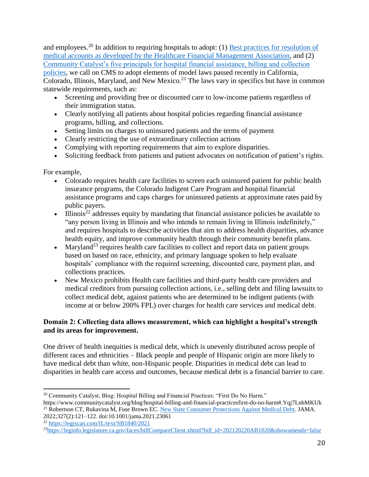and employees.<sup>20</sup> In addition to requiring hospitals to adopt: (1) Best practices for resolution of [medical accounts as developed by the Healthcare Financial Management Association,](https://www.hfma.org/content/dam/hfma/Documents/industry-initiatives/best-practices-medical-resolution-medical-accounts.pdf) and (2) [Community Catalyst's five principals for hospital financial assistance, billing and collection](https://www.communitycatalyst.org/resources/tools/the-advocates-resource-community-power-leading-the-charge-to-improve-community-benefit-and-economic-stability/pdf/Principles-for-Improving-Financial-Assistance-0615-FINAL.pdf)  [policies,](https://www.communitycatalyst.org/resources/tools/the-advocates-resource-community-power-leading-the-charge-to-improve-community-benefit-and-economic-stability/pdf/Principles-for-Improving-Financial-Assistance-0615-FINAL.pdf) we call on CMS to adopt elements of model laws passed recently in California, Colorado, Illinois, Maryland, and New Mexico.<sup>21</sup> The laws vary in specifics but have in common statewide requirements, such as:

- Screening and providing free or discounted care to low-income patients regardless of their immigration status.
- Clearly notifying all patients about hospital policies regarding financial assistance programs, billing, and collections.
- Setting limits on charges to uninsured patients and the terms of payment
- Clearly restricting the use of extraordinary collection actions
- Complying with reporting requirements that aim to explore disparities.
- Soliciting feedback from patients and patient advocates on notification of patient's rights.

For example,

- Colorado requires health care facilities to screen each uninsured patient for public health insurance programs, the Colorado Indigent Care Program and hospital financial assistance programs and caps charges for uninsured patients at approximate rates paid by public payers.
- Illinois<sup>22</sup> addresses equity by mandating that financial assistance policies be available to "any person living in Illinois and who intends to remain living in Illinois indefinitely," and requires hospitals to describe activities that aim to address health disparities, advance health equity, and improve community health through their community benefit plans.
- Maryland<sup>23</sup> requires health care facilities to collect and report data on patient groups based on based on race, ethnicity, and primary language spoken to help evaluate hospitals' compliance with the required screening, discounted care, payment plan, and collections practices.
- New Mexico prohibits Health care facilities and third-party health care providers and medical creditors from pursuing collection actions, i.e., selling debt and filing lawsuits to collect medical debt, against patients who are determined to be indigent patients (with income at or below 200% FPL) over charges for health care services and medical debt.

# **Domain 2: Collecting data allows measurement, which can highlight a hospital's strength and its areas for improvement.**

One driver of health inequities is medical debt, which is unevenly distributed across people of different races and ethnicities – Black people and people of Hispanic origin are more likely to have medical debt than white, non-Hispanic people. Disparities in medical debt can lead to disparities in health care access and outcomes, because medical debt is a financial barrier to care.

<sup>22</sup> <https://legiscan.com/IL/text/SB1840/2021>

 $\overline{\phantom{a}}$ <sup>20</sup> Community Catalyst, Blog: Hospital Billing and Financial Practices: "First Do No Harm."

https://www.communitycatalyst.org/blog/hospital-billing-and-financial-practicesfirst-do-no-harm#.Yqj7LnbMKUk <sup>21</sup> Robertson CT, Rukavina M, Fuse Brown EC. [New State Consumer Protections Against Medical Debt.](https://jamanetwork.com/journals/jama/article-abstract/2787901) JAMA.

<sup>2022;327(2):121–122.</sup> doi:10.1001/jama.2021.23061

<sup>&</sup>lt;sup>23</sup>[https://leginfo.legislature.ca.gov/faces/billCompareClient.xhtml?bill\\_id=202120220AB1020&showamends=false](https://leginfo.legislature.ca.gov/faces/billCompareClient.xhtml?bill_id=202120220AB1020&showamends=false)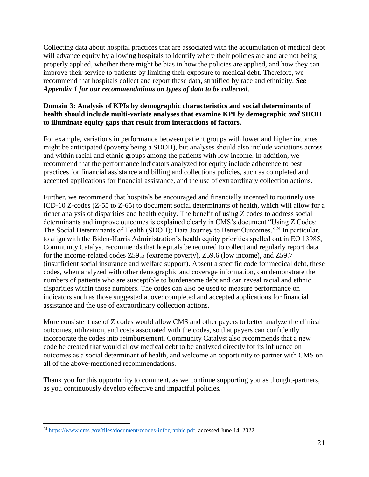Collecting data about hospital practices that are associated with the accumulation of medical debt will advance equity by allowing hospitals to identify where their policies are and are not being properly applied, whether there might be bias in how the policies are applied, and how they can improve their service to patients by limiting their exposure to medical debt. Therefore, we recommend that hospitals collect and report these data, stratified by race and ethnicity. *See Appendix 1 for our recommendations on types of data to be collected*.

### **Domain 3: Analysis of KPIs by demographic characteristics and social determinants of health should include multi-variate analyses that examine KPI** *by* **demographic** *and* **SDOH to illuminate equity gaps that result from interactions of factors.**

For example, variations in performance between patient groups with lower and higher incomes might be anticipated (poverty being a SDOH), but analyses should also include variations across and within racial and ethnic groups among the patients with low income. In addition, we recommend that the performance indicators analyzed for equity include adherence to best practices for financial assistance and billing and collections policies, such as completed and accepted applications for financial assistance, and the use of extraordinary collection actions.

Further, we recommend that hospitals be encouraged and financially incented to routinely use ICD-10 Z-codes (Z-55 to Z-65) to document social determinants of health, which will allow for a richer analysis of disparities and health equity. The benefit of using Z codes to address social determinants and improve outcomes is explained clearly in CMS's document "Using Z Codes: The Social Determinants of Health (SDOH); Data Journey to Better Outcomes."<sup>24</sup> In particular, to align with the Biden-Harris Administration's health equity priorities spelled out in EO 13985, Community Catalyst recommends that hospitals be required to collect and regularly report data for the income-related codes Z59.5 (extreme poverty), Z59.6 (low income), and Z59.7 (insufficient social insurance and welfare support). Absent a specific code for medical debt, these codes, when analyzed with other demographic and coverage information, can demonstrate the numbers of patients who are susceptible to burdensome debt and can reveal racial and ethnic disparities within those numbers. The codes can also be used to measure performance on indicators such as those suggested above: completed and accepted applications for financial assistance and the use of extraordinary collection actions.

More consistent use of Z codes would allow CMS and other payers to better analyze the clinical outcomes, utilization, and costs associated with the codes, so that payers can confidently incorporate the codes into reimbursement. Community Catalyst also recommends that a new code be created that would allow medical debt to be analyzed directly for its influence on outcomes as a social determinant of health, and welcome an opportunity to partner with CMS on all of the above-mentioned recommendations.

Thank you for this opportunity to comment, as we continue supporting you as thought-partners, as you continuously develop effective and impactful policies.

 $\overline{\phantom{a}}$ <sup>24</sup> [https://www.cms.gov/files/document/zcodes-infographic.pdf,](https://www.cms.gov/files/document/zcodes-infographic.pdf) accessed June 14, 2022.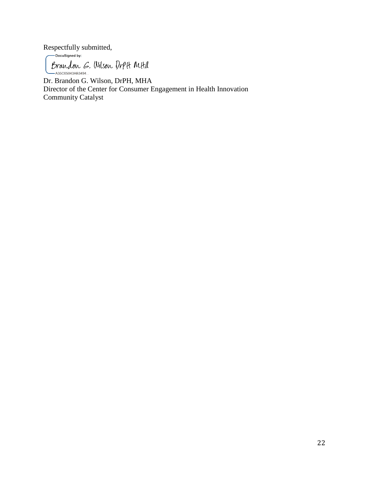Respectfully submitted,

Brandon G. Wilson Drptt Mtha

Dr. Brandon G. Wilson, DrPH, MHA Director of the Center for Consumer Engagement in Health Innovation Community Catalyst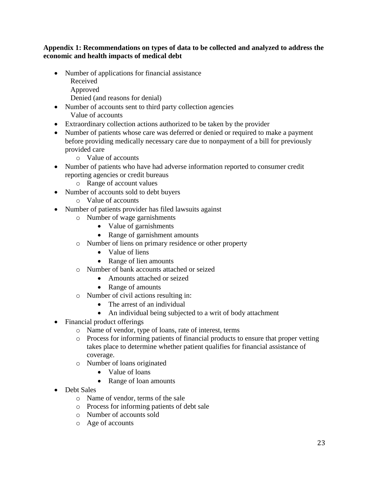### **Appendix 1: Recommendations on types of data to be collected and analyzed to address the economic and health impacts of medical debt**

• Number of applications for financial assistance Received Approved

Denied (and reasons for denial)

- Number of accounts sent to third party collection agencies Value of accounts
- Extraordinary collection actions authorized to be taken by the provider
- Number of patients whose care was deferred or denied or required to make a payment before providing medically necessary care due to nonpayment of a bill for previously provided care
	- o Value of accounts
- Number of patients who have had adverse information reported to consumer credit reporting agencies or credit bureaus
	- o Range of account values
- Number of accounts sold to debt buyers
	- o Value of accounts
- Number of patients provider has filed lawsuits against
	- o Number of wage garnishments
		- Value of garnishments
		- Range of garnishment amounts
	- o Number of liens on primary residence or other property
		- Value of liens
		- Range of lien amounts
	- o Number of bank accounts attached or seized
		- Amounts attached or seized
		- Range of amounts
	- o Number of civil actions resulting in:
		- The arrest of an individual
		- An individual being subjected to a writ of body attachment
- Financial product offerings
	- o Name of vendor, type of loans, rate of interest, terms
	- o Process for informing patients of financial products to ensure that proper vetting takes place to determine whether patient qualifies for financial assistance of coverage.
	- o Number of loans originated
		- Value of loans
		- Range of loan amounts
- Debt Sales
	- o Name of vendor, terms of the sale
	- o Process for informing patients of debt sale
	- o Number of accounts sold
	- o Age of accounts